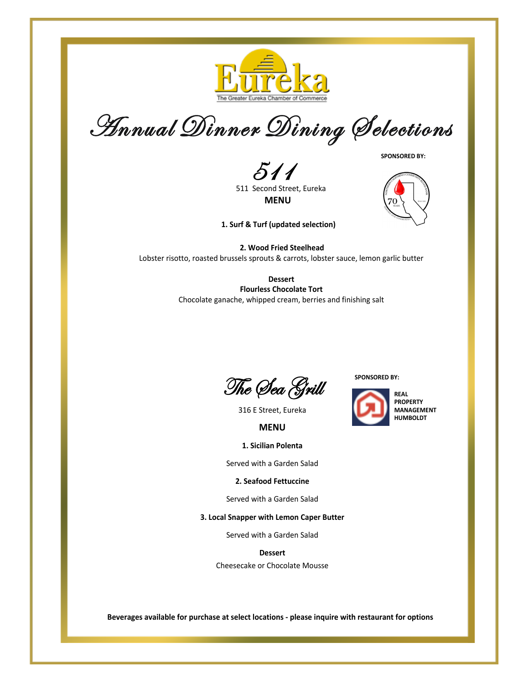

Annual Dinner Dining Selections

**SPONSORED BY:**

511

511 Second Street, Eureka **MENU**

**1. Surf & Turf (updated selection)**



**2. Wood Fried Steelhead** Lobster risotto, roasted brussels sprouts & carrots, lobster sauce, lemon garlic butter

> **Dessert Flourless Chocolate Tort** Chocolate ganache, whipped cream, berries and finishing salt

The Sea Grill

**SPONSORED BY:**



316 E Street, Eureka

**MENU**

**1. Sicilian Polenta**

Served with a Garden Salad

**2. Seafood Fettuccine**

Served with a Garden Salad

**3. Local Snapper with Lemon Caper Butter**

Served with a Garden Salad

**Dessert** Cheesecake or Chocolate Mousse

**Beverages available for purchase at select locations - please inquire with restaurant for options**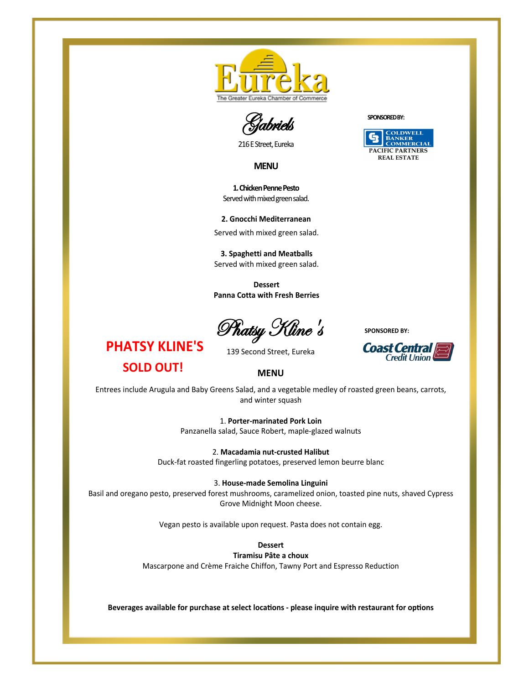

Gabriels

216 E Street, Eureka

**MENU**

**1. Chicken Penne Pesto** Served with mixed green salad.

**2. Gnocchi Mediterranean** Served with mixed green salad.

**3. Spaghetti and Meatballs** Served with mixed green salad.

**Dessert Panna Cotta with Fresh Berries**

Phatsy Kline's

**PHATSY KLINE'S SOLD OUT!**

139 Second Street, Eureka





**MENU**

Entrees include Arugula and Baby Greens Salad, and a vegetable medley of roasted green beans, carrots, and winter squash

> 1. **Porter-marinated Pork Loin** Panzanella salad, Sauce Robert, maple-glazed walnuts

2. **Macadamia nut-crusted Halibut** Duck-fat roasted fingerling potatoes, preserved lemon beurre blanc

3. **House-made Semolina Linguini**

Basil and oregano pesto, preserved forest mushrooms, caramelized onion, toasted pine nuts, shaved Cypress Grove Midnight Moon cheese.

Vegan pesto is available upon request. Pasta does not contain egg.

**Dessert** 

**Tiramisu Pâte a choux** Mascarpone and Crème Fraiche Chiffon, Tawny Port and Espresso Reduction

Beverages available for purchase at select locations - please inquire with restaurant for options

**SPONSORED BY:**